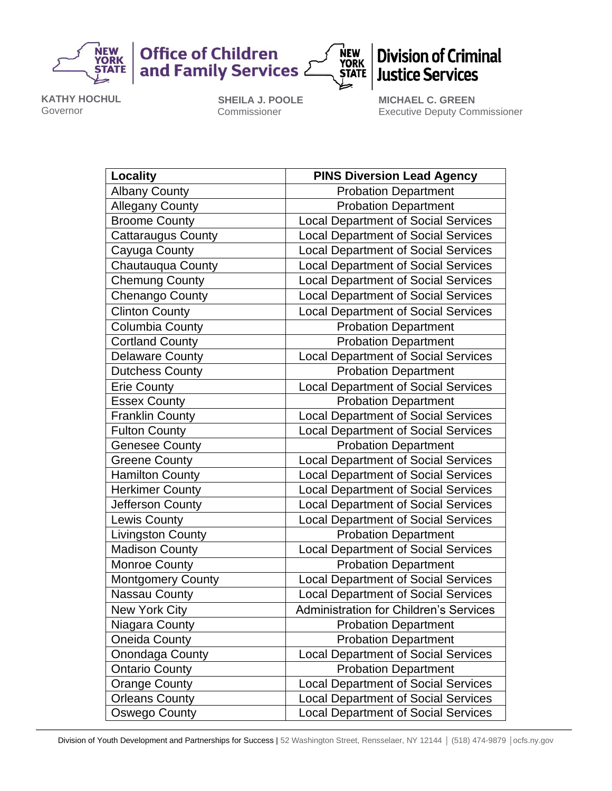

**Office of Children** and Family Services 2



## **Division of Criminal Justice Services**

**KATHY HOCHUL** Governor

**SHEILA J. POOLE** Commissioner

**MICHAEL C. GREEN** Executive Deputy Commissioner

| <b>Locality</b>           | <b>PINS Diversion Lead Agency</b>             |
|---------------------------|-----------------------------------------------|
| <b>Albany County</b>      | <b>Probation Department</b>                   |
| <b>Allegany County</b>    | <b>Probation Department</b>                   |
| <b>Broome County</b>      | <b>Local Department of Social Services</b>    |
| <b>Cattaraugus County</b> | <b>Local Department of Social Services</b>    |
| Cayuga County             | <b>Local Department of Social Services</b>    |
| Chautauqua County         | <b>Local Department of Social Services</b>    |
| <b>Chemung County</b>     | <b>Local Department of Social Services</b>    |
| Chenango County           | <b>Local Department of Social Services</b>    |
| <b>Clinton County</b>     | <b>Local Department of Social Services</b>    |
| Columbia County           | <b>Probation Department</b>                   |
| <b>Cortland County</b>    | <b>Probation Department</b>                   |
| <b>Delaware County</b>    | <b>Local Department of Social Services</b>    |
| <b>Dutchess County</b>    | <b>Probation Department</b>                   |
| <b>Erie County</b>        | <b>Local Department of Social Services</b>    |
| <b>Essex County</b>       | <b>Probation Department</b>                   |
| <b>Franklin County</b>    | <b>Local Department of Social Services</b>    |
| <b>Fulton County</b>      | <b>Local Department of Social Services</b>    |
| <b>Genesee County</b>     | <b>Probation Department</b>                   |
| <b>Greene County</b>      | <b>Local Department of Social Services</b>    |
| <b>Hamilton County</b>    | <b>Local Department of Social Services</b>    |
| <b>Herkimer County</b>    | <b>Local Department of Social Services</b>    |
| Jefferson County          | <b>Local Department of Social Services</b>    |
| <b>Lewis County</b>       | <b>Local Department of Social Services</b>    |
| Livingston County         | <b>Probation Department</b>                   |
| <b>Madison County</b>     | <b>Local Department of Social Services</b>    |
| <b>Monroe County</b>      | <b>Probation Department</b>                   |
| <b>Montgomery County</b>  | <b>Local Department of Social Services</b>    |
| <b>Nassau County</b>      | <b>Local Department of Social Services</b>    |
| <b>New York City</b>      | <b>Administration for Children's Services</b> |
| Niagara County            | <b>Probation Department</b>                   |
| <b>Oneida County</b>      | <b>Probation Department</b>                   |
| Onondaga County           | <b>Local Department of Social Services</b>    |
| <b>Ontario County</b>     | <b>Probation Department</b>                   |
| <b>Orange County</b>      | <b>Local Department of Social Services</b>    |
| <b>Orleans County</b>     | <b>Local Department of Social Services</b>    |
| Oswego County             | <b>Local Department of Social Services</b>    |

Division of Youth Development and Partnerships for Success | 52 Washington Street, Rensselaer, NY 12144 | (518) 474-9879 | ocfs.ny.gov